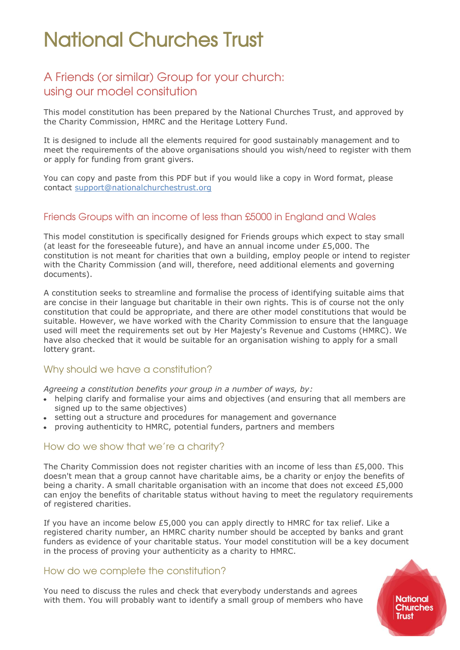### A Friends (or similar) Group for your church: using our model consitution

This model constitution has been prepared by the National Churches Trust, and approved by the Charity Commission, HMRC and the Heritage Lottery Fund.

It is designed to include all the elements required for good sustainably management and to meet the requirements of the above organisations should you wish/need to register with them or apply for funding from grant givers.

You can copy and paste from this PDF but if you would like a copy in Word format, please contact [support@nationalchurchestrust.org](mailto:support@nationalchurchestrust.org)

#### Friends Groups with an income of less than £5000 in England and Wales

This model constitution is specifically designed for Friends groups which expect to stay small (at least for the foreseeable future), and have an annual income under £5,000. The constitution is not meant for charities that own a building, employ people or intend to register with the Charity Commission (and will, therefore, need additional elements and governing documents).

A constitution seeks to streamline and formalise the process of identifying suitable aims that are concise in their language but charitable in their own rights. This is of course not the only constitution that could be appropriate, and there are other model constitutions that would be suitable. However, we have worked with the Charity Commission to ensure that the language used will meet the requirements set out by Her Majesty's Revenue and Customs (HMRC). We have also checked that it would be suitable for an organisation wishing to apply for a small lottery grant.

#### Why should we have a constitution?

*Agreeing a constitution benefits your group in a number of ways, by:*

- helping clarify and formalise your aims and objectives (and ensuring that all members are signed up to the same objectives)
- setting out a structure and procedures for management and governance
- proving authenticity to HMRC, potential funders, partners and members

#### How do we show that we're a charity?

The Charity Commission does not register charities with an income of less than £5,000. This doesn't mean that a group cannot have charitable aims, be a charity or enjoy the benefits of being a charity. A small charitable organisation with an income that does not exceed £5,000 can enjoy the benefits of charitable status without having to meet the regulatory requirements of registered charities.

If you have an income below £5,000 you can apply directly to HMRC for tax relief. Like a registered charity number, an HMRC charity number should be accepted by banks and grant funders as evidence of your charitable status. Your model constitution will be a key document in the process of proving your authenticity as a charity to HMRC.

#### How do we complete the constitution?

You need to discuss the rules and check that everybody understands and agrees with them. You will probably want to identify a small group of members who have **National Churches Trust**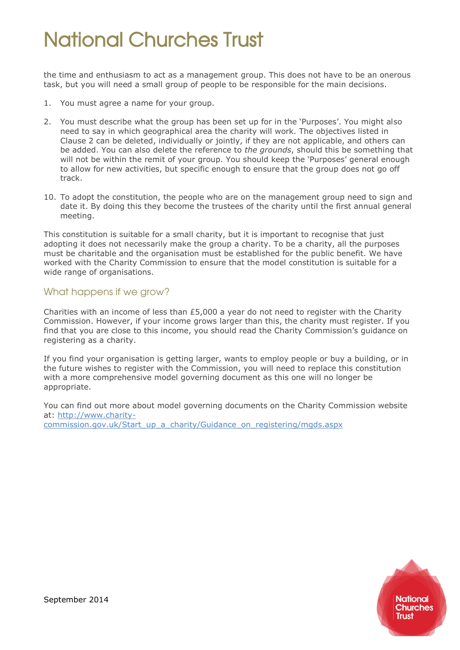the time and enthusiasm to act as a management group. This does not have to be an onerous task, but you will need a small group of people to be responsible for the main decisions.

- 1. You must agree a name for your group.
- 2. You must describe what the group has been set up for in the 'Purposes'. You might also need to say in which geographical area the charity will work. The objectives listed in Clause 2 can be deleted, individually or jointly, if they are not applicable, and others can be added. You can also delete the reference to *the grounds*, should this be something that will not be within the remit of your group. You should keep the 'Purposes' general enough to allow for new activities, but specific enough to ensure that the group does not go off track.
- 10. To adopt the constitution, the people who are on the management group need to sign and date it. By doing this they become the trustees of the charity until the first annual general meeting.

This constitution is suitable for a small charity, but it is important to recognise that just adopting it does not necessarily make the group a charity. To be a charity, all the purposes must be charitable and the organisation must be established for the public benefit. We have worked with the Charity Commission to ensure that the model constitution is suitable for a wide range of organisations.

### What happens if we grow?

Charities with an income of less than  $£5,000$  a year do not need to register with the Charity Commission. However, if your income grows larger than this, the charity must register. If you find that you are close to this income, you should read the Charity Commission's guidance on registering as a charity.

If you find your organisation is getting larger, wants to employ people or buy a building, or in the future wishes to register with the Commission, you will need to replace this constitution with a more comprehensive model governing document as this one will no longer be appropriate.

You can find out more about model governing documents on the Charity Commission website at: [http://www.charity](http://www.charity-commission.gov.uk/Start_up_a_charity/Guidance_on_registering/mgds.aspx)[commission.gov.uk/Start\\_up\\_a\\_charity/Guidance\\_on\\_registering/mgds.aspx](http://www.charity-commission.gov.uk/Start_up_a_charity/Guidance_on_registering/mgds.aspx)

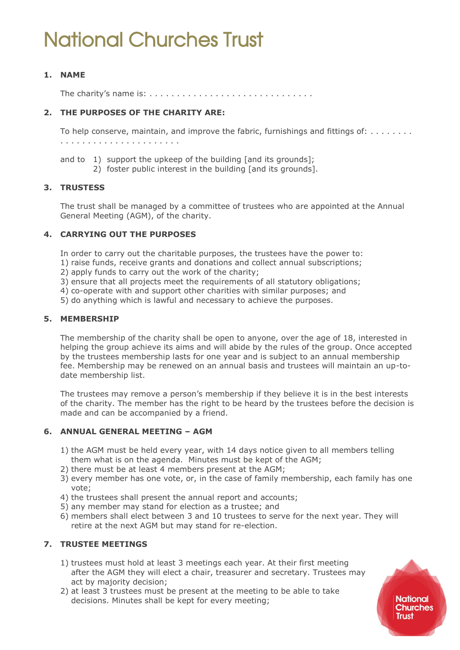#### **1. NAME**

The charity's name is: . . . . . . . . . . . . . . . . . . . . . . . . . . . . . .

#### **2. THE PURPOSES OF THE CHARITY ARE:**

To help conserve, maintain, and improve the fabric, furnishings and fittings of: . . . . . . . . . . . . . . . . . . . . . . . . . . . . . .

- and to 1) support the upkeep of the building [and its grounds];
	- 2) foster public interest in the building [and its grounds].

#### **3. TRUSTESS**

The trust shall be managed by a committee of trustees who are appointed at the Annual General Meeting (AGM), of the charity.

#### **4. CARRYING OUT THE PURPOSES**

- In order to carry out the charitable purposes, the trustees have the power to:
- 1) raise funds, receive grants and donations and collect annual subscriptions;
- 2) apply funds to carry out the work of the charity;
- 3) ensure that all projects meet the requirements of all statutory obligations;
- 4) co-operate with and support other charities with similar purposes; and
- 5) do anything which is lawful and necessary to achieve the purposes.

#### **5. MEMBERSHIP**

The membership of the charity shall be open to anyone, over the age of 18, interested in helping the group achieve its aims and will abide by the rules of the group. Once accepted by the trustees membership lasts for one year and is subject to an annual membership fee. Membership may be renewed on an annual basis and trustees will maintain an up-todate membership list.

The trustees may remove a person's membership if they believe it is in the best interests of the charity. The member has the right to be heard by the trustees before the decision is made and can be accompanied by a friend.

#### **6. ANNUAL GENERAL MEETING – AGM**

- 1) the AGM must be held every year, with 14 days notice given to all members telling them what is on the agenda. Minutes must be kept of the AGM;
- 2) there must be at least 4 members present at the AGM;
- 3) every member has one vote, or, in the case of family membership, each family has one vote;
- 4) the trustees shall present the annual report and accounts;
- 5) any member may stand for election as a trustee; and
- 6) members shall elect between 3 and 10 trustees to serve for the next year. They will retire at the next AGM but may stand for re-election.

#### **7. TRUSTEE MEETINGS**

- 1) trustees must hold at least 3 meetings each year. At their first meeting after the AGM they will elect a chair, treasurer and secretary. Trustees may act by majority decision;
- 2) at least 3 trustees must be present at the meeting to be able to take decisions. Minutes shall be kept for every meeting;